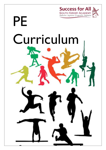

# Curriculum

PE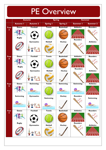#### PE Overview

|                          | <b>Autumn</b>   |                   |                       | <b>Spring</b>     | <b>Summer</b>                          |                               |
|--------------------------|-----------------|-------------------|-----------------------|-------------------|----------------------------------------|-------------------------------|
|                          | <b>Autumn I</b> | <b>Autumn 2</b>   | Spring                | <b>Spring 2</b>   | Summer I                               | Summer 2                      |
| Year                     | <b>Dance</b>    | <b>Football</b>   | <b>Tennis</b>         | <b>Basketball</b> | <b>Athletics</b>                       | <b>Rounders</b>               |
| $\overline{\mathbf{3}}$  | <b>Rugby</b>    |                   |                       |                   | $2/3$  4 $\sqrt{5}$<br><b>Rounders</b> |                               |
|                          |                 | <b>Gymnastics</b> | <b>Netball</b>        | <b>Hockey</b>     | <b><i>MARKHAHA</i></b>                 | <b>Athletics</b>              |
| Year<br>4                | <b>Dance</b>    | Football          | <b>Tennis</b>         | <b>Basketball</b> | <b>Athletics</b>                       | <b>Rounders</b>               |
|                          | <b>Rugby</b>    |                   |                       |                   | $4\sqrt{5}$<br> 3 <br><b>Rounders</b>  |                               |
|                          |                 | <b>Gymnastics</b> | <b>Netball</b>        | <b>Hockey</b>     |                                        | <b>Athletics</b>              |
|                          |                 |                   |                       |                   |                                        | 3 4 5                         |
| Year                     | <b>Dance</b>    | <b>Swimming</b>   | <b>Tennis</b>         | <b>Swimming</b>   | <b>Swimming</b>                        | <b>Athletics</b>              |
| 5                        |                 | $\infty$          |                       | $\infty$          | <b>OCTA</b>                            |                               |
|                          | <b>Swimming</b> | <b>Gymnastics</b> | <b>Swimming</b>       | <b>Hockey</b>     | <b>Rounders</b>                        | <b>Swimming</b>               |
|                          | CO TILL         |                   | $\sigma$<br>$\log 10$ |                   |                                        | $\infty$                      |
| Year<br>$\boldsymbol{6}$ | <b>Dance</b>    | <b>Football</b>   | <b>Tennis</b>         | <b>Basketball</b> | <b>Athletics</b>                       | <b>Rounders</b>               |
|                          |                 |                   |                       |                   | 3 4<br>۱5                              | WHITEREE                      |
|                          | <b>Rugby</b>    | <b>Gymnastics</b> | <b>Netball</b>        | <b>Hockey</b>     | <b>Rounders</b>                        | <b>Athletics</b>              |
|                          | <b>2</b> USB    |                   |                       |                   | <b>WHERE</b><br><b>WHATHING</b>        | $^{\prime}$ 3<br>$\mathbf{A}$ |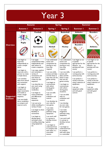|                                    | <b>Autumn</b>                                                                                                                                                                                                                                                              |                                                                                                                                                                                                                                                                                                                                                                                                                                                      | <b>Spring</b>                                                                                                                                                                                                                                                                                                                                                                                                                                  |                                                                                                                                                                                                                                                                                                                                                                                                                                      | <b>Summer</b>                                                                                                                                             |                                                                                                                                                           |
|------------------------------------|----------------------------------------------------------------------------------------------------------------------------------------------------------------------------------------------------------------------------------------------------------------------------|------------------------------------------------------------------------------------------------------------------------------------------------------------------------------------------------------------------------------------------------------------------------------------------------------------------------------------------------------------------------------------------------------------------------------------------------------|------------------------------------------------------------------------------------------------------------------------------------------------------------------------------------------------------------------------------------------------------------------------------------------------------------------------------------------------------------------------------------------------------------------------------------------------|--------------------------------------------------------------------------------------------------------------------------------------------------------------------------------------------------------------------------------------------------------------------------------------------------------------------------------------------------------------------------------------------------------------------------------------|-----------------------------------------------------------------------------------------------------------------------------------------------------------|-----------------------------------------------------------------------------------------------------------------------------------------------------------|
|                                    | <b>Autumn I</b>                                                                                                                                                                                                                                                            | <b>Autumn 2</b>                                                                                                                                                                                                                                                                                                                                                                                                                                      | <b>Spring I</b>                                                                                                                                                                                                                                                                                                                                                                                                                                | <b>Spring 2</b>                                                                                                                                                                                                                                                                                                                                                                                                                      | Summer I                                                                                                                                                  | <b>Summer 2</b>                                                                                                                                           |
|                                    | <b>Dance</b>                                                                                                                                                                                                                                                               | <b>Football</b>                                                                                                                                                                                                                                                                                                                                                                                                                                      | <b>Tennis</b>                                                                                                                                                                                                                                                                                                                                                                                                                                  | <b>Basketball</b>                                                                                                                                                                                                                                                                                                                                                                                                                    | <b>Athletics</b>                                                                                                                                          | <b>Rounders</b>                                                                                                                                           |
| <b>Overview</b>                    | <b>Rugby</b>                                                                                                                                                                                                                                                               |                                                                                                                                                                                                                                                                                                                                                                                                                                                      |                                                                                                                                                                                                                                                                                                                                                                                                                                                |                                                                                                                                                                                                                                                                                                                                                                                                                                      | 3 4 5 6<br><b>Rounders</b>                                                                                                                                |                                                                                                                                                           |
|                                    |                                                                                                                                                                                                                                                                            | <b>Gymnastics</b>                                                                                                                                                                                                                                                                                                                                                                                                                                    | <b>Netball</b>                                                                                                                                                                                                                                                                                                                                                                                                                                 | <b>Hockey</b>                                                                                                                                                                                                                                                                                                                                                                                                                        |                                                                                                                                                           | <b>Athletics</b>                                                                                                                                          |
|                                    |                                                                                                                                                                                                                                                                            |                                                                                                                                                                                                                                                                                                                                                                                                                                                      |                                                                                                                                                                                                                                                                                                                                                                                                                                                |                                                                                                                                                                                                                                                                                                                                                                                                                                      |                                                                                                                                                           | 3 4 5                                                                                                                                                     |
|                                    | I can begin to<br>improvise                                                                                                                                                                                                                                                | I can apply<br>compositional ideas                                                                                                                                                                                                                                                                                                                                                                                                                   | I can understand<br>tactics and                                                                                                                                                                                                                                                                                                                                                                                                                | l can understand<br>tactics and                                                                                                                                                                                                                                                                                                                                                                                                      | I can begin to run<br>at speeds                                                                                                                           | can begin to run<br>at speeds                                                                                                                             |
|                                    | independently to<br>create a simple<br>dance.                                                                                                                                                                                                                              | independently and<br>with others to<br>create a sequence.                                                                                                                                                                                                                                                                                                                                                                                            | composition by<br>starting to vary<br>how they<br>respond.                                                                                                                                                                                                                                                                                                                                                                                     | composition by<br>starting to vary<br>how they<br>respond.                                                                                                                                                                                                                                                                                                                                                                           | appropriate for the<br>distance. e.g.<br>sprinting and cross<br>country                                                                                   | appropriate for the<br>distance. e.g.<br>sprinting and cross<br>country                                                                                   |
|                                    | I can begin to<br>improvise with a                                                                                                                                                                                                                                         | I can copy, explore<br>and remember a                                                                                                                                                                                                                                                                                                                                                                                                                | I can vary skills,                                                                                                                                                                                                                                                                                                                                                                                                                             | I can vary skills,                                                                                                                                                                                                                                                                                                                                                                                                                   | I can perform a                                                                                                                                           | I can perform a                                                                                                                                           |
|                                    | partner to create                                                                                                                                                                                                                                                          | variety of                                                                                                                                                                                                                                                                                                                                                                                                                                           | actions and ideas                                                                                                                                                                                                                                                                                                                                                                                                                              | actions and                                                                                                                                                                                                                                                                                                                                                                                                                          | running jump with                                                                                                                                         | running jump with                                                                                                                                         |
| <b>Suggested</b><br><b>Content</b> | a simple dance.<br>I can translate<br>ideas from stimuli<br>into movement<br>with support.<br>I can begin to<br>compare and<br>adapt movements<br>and motifs to<br>create a larger<br>sequence.<br>I can use simple<br>dance vocabulary<br>to compare and<br>improve work. | movements and<br>uses these to<br>create my own<br>sequence.<br>I can describe my<br>own work using<br>simple gym<br>vocabulary.<br>I can begin to<br>notice similarities<br>and differences<br>between<br>sequences.<br>I can use turns<br>whilst travelling in a<br>variety of ways.<br>I can begin to show<br>flexibility in<br>movements<br>I can begin to<br>develop good<br>technique when<br>travelling, balancing,<br>using equipment<br>etc | and link these in<br>ways that suit the<br>games activity.<br>I can begin to<br>communicate<br>with others<br>during game<br>situations.<br>I can use skills<br>with co-<br>ordination and<br>control.<br>I can develop my<br>own rules for<br>new games.<br>l can make<br>imaginative<br>pathways using<br>equipment.<br>I can work well<br>in a group to<br>develop various<br>games.<br>I can begin to<br>understand how<br>to compete with | ideas and link<br>these in ways<br>that suit the<br>games activity.<br>I can begin to<br>communicate<br>with others<br>during game<br>situations.<br>I can use skills<br>with co-<br>ordination and<br>control.<br>I can develop<br>my own rules<br>for new games.<br>I can make<br>imaginative<br>pathways using<br>equipment.<br>I can work well<br>in a group to<br>develop various<br>games.<br>I can begin to<br>understand how | some accuracy<br>I can perform a<br>variety of throws<br>using a selection of<br>equipment.<br>I can use<br>equipment safely<br>and with good<br>control. | some accuracy<br>I can perform a<br>variety of throws<br>using a selection of<br>equipment.<br>I can use<br>equipment safely<br>and with good<br>control. |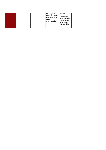|  | l can begin to                                                         | manner.                                                                                  |  |
|--|------------------------------------------------------------------------|------------------------------------------------------------------------------------------|--|
|  | select resources<br>independently to<br>carry out<br>different skills. | I can begin to<br>select resources<br>independently<br>to carry out<br>different skills. |  |
|  |                                                                        |                                                                                          |  |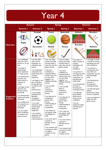|                                    | <b>Autumn</b>                                                                                                                                                                                                                                                                                                                                                                                                                                           |                                                                                                                                                                                                                                                                                                                                                                                                                                            | <b>Spring</b>                                                                                                                                                                                                                                                                                                                                                                                                                                                                                                                                                                          |                                                                                                                                                                                                                                                                                                                                                                                                                                                                                                                                                                              | <b>Summer</b>                                                                                                                                                                                                                                                                                                                                                     |                                                                                                                                                                                                                                                                                                                                  |
|------------------------------------|---------------------------------------------------------------------------------------------------------------------------------------------------------------------------------------------------------------------------------------------------------------------------------------------------------------------------------------------------------------------------------------------------------------------------------------------------------|--------------------------------------------------------------------------------------------------------------------------------------------------------------------------------------------------------------------------------------------------------------------------------------------------------------------------------------------------------------------------------------------------------------------------------------------|----------------------------------------------------------------------------------------------------------------------------------------------------------------------------------------------------------------------------------------------------------------------------------------------------------------------------------------------------------------------------------------------------------------------------------------------------------------------------------------------------------------------------------------------------------------------------------------|------------------------------------------------------------------------------------------------------------------------------------------------------------------------------------------------------------------------------------------------------------------------------------------------------------------------------------------------------------------------------------------------------------------------------------------------------------------------------------------------------------------------------------------------------------------------------|-------------------------------------------------------------------------------------------------------------------------------------------------------------------------------------------------------------------------------------------------------------------------------------------------------------------------------------------------------------------|----------------------------------------------------------------------------------------------------------------------------------------------------------------------------------------------------------------------------------------------------------------------------------------------------------------------------------|
|                                    | <b>Autumn I</b>                                                                                                                                                                                                                                                                                                                                                                                                                                         | <b>Autumn 2</b>                                                                                                                                                                                                                                                                                                                                                                                                                            | <b>Spring I</b>                                                                                                                                                                                                                                                                                                                                                                                                                                                                                                                                                                        | <b>Spring 2</b>                                                                                                                                                                                                                                                                                                                                                                                                                                                                                                                                                              | <b>Summer I</b>                                                                                                                                                                                                                                                                                                                                                   | <b>Summer 2</b>                                                                                                                                                                                                                                                                                                                  |
|                                    | <b>Dance</b>                                                                                                                                                                                                                                                                                                                                                                                                                                            | Football                                                                                                                                                                                                                                                                                                                                                                                                                                   | <b>Tennis</b>                                                                                                                                                                                                                                                                                                                                                                                                                                                                                                                                                                          | <b>Basketball</b>                                                                                                                                                                                                                                                                                                                                                                                                                                                                                                                                                            | <b>Athletics</b>                                                                                                                                                                                                                                                                                                                                                  | <b>Rounders</b>                                                                                                                                                                                                                                                                                                                  |
| <b>Overview</b>                    | <b>Rugby</b>                                                                                                                                                                                                                                                                                                                                                                                                                                            |                                                                                                                                                                                                                                                                                                                                                                                                                                            |                                                                                                                                                                                                                                                                                                                                                                                                                                                                                                                                                                                        |                                                                                                                                                                                                                                                                                                                                                                                                                                                                                                                                                                              | $\overline{\mathbf{3}}$<br>l 5<br>4<br><b>Rounders</b>                                                                                                                                                                                                                                                                                                            |                                                                                                                                                                                                                                                                                                                                  |
|                                    |                                                                                                                                                                                                                                                                                                                                                                                                                                                         | <b>Gymnastics</b>                                                                                                                                                                                                                                                                                                                                                                                                                          | <b>Netball</b>                                                                                                                                                                                                                                                                                                                                                                                                                                                                                                                                                                         | <b>Hockey</b>                                                                                                                                                                                                                                                                                                                                                                                                                                                                                                                                                                |                                                                                                                                                                                                                                                                                                                                                                   | <b>Athletics</b>                                                                                                                                                                                                                                                                                                                 |
|                                    |                                                                                                                                                                                                                                                                                                                                                                                                                                                         |                                                                                                                                                                                                                                                                                                                                                                                                                                            |                                                                                                                                                                                                                                                                                                                                                                                                                                                                                                                                                                                        |                                                                                                                                                                                                                                                                                                                                                                                                                                                                                                                                                                              | HAHHHH                                                                                                                                                                                                                                                                                                                                                            | $\mathbf{z}$<br>3 4 5                                                                                                                                                                                                                                                                                                            |
|                                    | I can confidently<br>improvise with a                                                                                                                                                                                                                                                                                                                                                                                                                   | I can link skills<br>with control,                                                                                                                                                                                                                                                                                                                                                                                                         | I can vary skills,<br>actions and ideas                                                                                                                                                                                                                                                                                                                                                                                                                                                                                                                                                | can vary skills,<br>actions and ideas                                                                                                                                                                                                                                                                                                                                                                                                                                                                                                                                        | I can begin to<br>build a variety of                                                                                                                                                                                                                                                                                                                              | I can begin to build<br>a variety of running                                                                                                                                                                                                                                                                                     |
|                                    | partner or on my<br>own.                                                                                                                                                                                                                                                                                                                                                                                                                                | technique, co-<br>ordination and                                                                                                                                                                                                                                                                                                                                                                                                           | and link these in<br>ways that suit the                                                                                                                                                                                                                                                                                                                                                                                                                                                                                                                                                | and link these in<br>ways that suit the                                                                                                                                                                                                                                                                                                                                                                                                                                                                                                                                      | running<br>techniques and                                                                                                                                                                                                                                                                                                                                         | techniques and use<br>with confidence.                                                                                                                                                                                                                                                                                           |
| <b>Suggested</b><br><b>Content</b> | I can begin to<br>create longer<br>dance sequences<br>in a larger group.<br>I can demonstrate<br>precision and<br>some control in<br>response to<br>stimuli.<br>I can begin to vary<br>dynamics and<br>develop actions<br>and motifs.<br>I can demonstrate<br>rhythm and spatial<br>awareness.<br>I can modify parts<br>of a sequence as a<br>result of self-<br>evaluation.<br>I can use simple<br>dance vocabulary<br>to compare and<br>improve work. | fluency.<br>I can understand<br>composition by<br>performing more<br>complex<br>sequences.<br>I can begin to use<br>gym vocabulary<br>to describe how<br>to improve and<br>refine<br>performances.<br>I can strength,<br>technique and<br>flexibility<br>throughout<br>performances.<br>I can create<br>sequences using<br>various body<br>shapes and<br>equipment.<br>I can combine<br>equipment with<br>movement to<br>create sequences. | games activity.<br>I can show<br>confidence in<br>using ball skills in<br>various ways, and<br>can link these<br>together. e.g.<br>dribbling, bouncing,<br>kicking<br>I can use skills<br>with co-<br>ordination,<br>control and<br>fluency.<br>I can take part in<br>competitive<br>games with a<br>strong<br>understanding of<br>tactics and<br>composition.<br>I can create my<br>own games using<br>knowledge and<br>skills.<br>I can work well in<br>a group to<br>develop various<br>games.<br>I can compare and<br>comment on skills<br>to support<br>creation of new<br>games. | games activity.<br>I can show<br>confidence in<br>using ball skills in<br>various ways, and<br>can link these<br>together. e.g.<br>dribbling, bouncing,<br>kicking<br>I can use skills<br>with co-<br>ordination,<br>control and<br>fluency.<br>I can take part in<br>competitive<br>games with a<br>strong<br>understanding of<br>tactics and<br>composition.<br>I can create my<br>own games using<br>knowledge and<br>skills.<br>I can work well in<br>a group to<br>develop various<br>games.<br>I can compare and<br>comment on skills<br>to support<br>creation of new | use with<br>confidence.<br>I can perform a<br>running jump with<br>more than one<br>component. e.g.<br>hop skip jump<br>(triple jump)<br>I can demonstrate<br>accuracy in<br>throwing and<br>catching activities.<br>I can describe<br>good athletic<br>performance<br>using correct<br>vocabulary.<br>I can use<br>equipment safely<br>and with good<br>control. | I can perform a<br>running jump with<br>more than one<br>component. e.g. hop<br>skip jump (triple<br>jump)<br>I can demonstrate<br>accuracy in<br>throwing and<br>catching activities.<br>I can describe good<br>athletic<br>performance using<br>correct vocabulary.<br>I can use equipment<br>safely and with<br>good control. |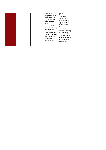| can make<br>suggestions as to<br>what resources<br>can be used to<br>differentiate a<br>game.<br>I can use basic<br>skills for attacking<br>and defending.<br>I can use running, | games.<br>I can make<br>suggestions as to<br>what resources<br>can be used to<br>differentiate a<br>game.<br>I can use basic<br>skills for attacking<br>and defending. |  |
|----------------------------------------------------------------------------------------------------------------------------------------------------------------------------------|------------------------------------------------------------------------------------------------------------------------------------------------------------------------|--|
| jumping, throwing<br>and catching in<br>isolation and<br>combination.                                                                                                            | I can use running,<br>jumping, throwing<br>and catching in<br>isolation and<br>combination.                                                                            |  |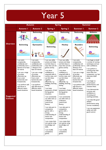|                                    | <b>Autumn</b>                                                                                                                                                                                                                                                                                        |                                                                                                                                                                                                                                                                                                      | <b>Spring</b>                                                                                                                                                                                                                                                                                                                                                                                                                                                                                                                                                                                                                                                      |                                                                                                                                                                                                                                                                                                                                                                                                                                                                                                                                                                                                                                                                    | <b>Summer</b>                                                                                                                                                                                                                                                                                        |                                                                                                                                                                                                                                                                                                                                                                                                                                                                                                                        |
|------------------------------------|------------------------------------------------------------------------------------------------------------------------------------------------------------------------------------------------------------------------------------------------------------------------------------------------------|------------------------------------------------------------------------------------------------------------------------------------------------------------------------------------------------------------------------------------------------------------------------------------------------------|--------------------------------------------------------------------------------------------------------------------------------------------------------------------------------------------------------------------------------------------------------------------------------------------------------------------------------------------------------------------------------------------------------------------------------------------------------------------------------------------------------------------------------------------------------------------------------------------------------------------------------------------------------------------|--------------------------------------------------------------------------------------------------------------------------------------------------------------------------------------------------------------------------------------------------------------------------------------------------------------------------------------------------------------------------------------------------------------------------------------------------------------------------------------------------------------------------------------------------------------------------------------------------------------------------------------------------------------------|------------------------------------------------------------------------------------------------------------------------------------------------------------------------------------------------------------------------------------------------------------------------------------------------------|------------------------------------------------------------------------------------------------------------------------------------------------------------------------------------------------------------------------------------------------------------------------------------------------------------------------------------------------------------------------------------------------------------------------------------------------------------------------------------------------------------------------|
|                                    | <b>Autumn I</b>                                                                                                                                                                                                                                                                                      | <b>Autumn 2</b>                                                                                                                                                                                                                                                                                      | <b>Spring I</b>                                                                                                                                                                                                                                                                                                                                                                                                                                                                                                                                                                                                                                                    | <b>Spring 2</b>                                                                                                                                                                                                                                                                                                                                                                                                                                                                                                                                                                                                                                                    | <b>Summer I</b>                                                                                                                                                                                                                                                                                      | <b>Summer 2</b>                                                                                                                                                                                                                                                                                                                                                                                                                                                                                                        |
|                                    | <b>Dance</b>                                                                                                                                                                                                                                                                                         | <b>Swimming</b>                                                                                                                                                                                                                                                                                      | <b>Tennis</b>                                                                                                                                                                                                                                                                                                                                                                                                                                                                                                                                                                                                                                                      | <b>Swimming</b>                                                                                                                                                                                                                                                                                                                                                                                                                                                                                                                                                                                                                                                    | <b>Swimming</b>                                                                                                                                                                                                                                                                                      | <b>Athletics</b>                                                                                                                                                                                                                                                                                                                                                                                                                                                                                                       |
| <b>Overview</b>                    |                                                                                                                                                                                                                                                                                                      |                                                                                                                                                                                                                                                                                                      |                                                                                                                                                                                                                                                                                                                                                                                                                                                                                                                                                                                                                                                                    | $\infty$                                                                                                                                                                                                                                                                                                                                                                                                                                                                                                                                                                                                                                                           | $\sim$                                                                                                                                                                                                                                                                                               |                                                                                                                                                                                                                                                                                                                                                                                                                                                                                                                        |
|                                    | <b>Swimming</b>                                                                                                                                                                                                                                                                                      | <b>Gymnastics</b>                                                                                                                                                                                                                                                                                    | <b>Swimming</b>                                                                                                                                                                                                                                                                                                                                                                                                                                                                                                                                                                                                                                                    | <b>Hockey</b>                                                                                                                                                                                                                                                                                                                                                                                                                                                                                                                                                                                                                                                      | <b>Rounders</b>                                                                                                                                                                                                                                                                                      | <b>Swimming</b>                                                                                                                                                                                                                                                                                                                                                                                                                                                                                                        |
|                                    |                                                                                                                                                                                                                                                                                                      |                                                                                                                                                                                                                                                                                                      | $\infty$                                                                                                                                                                                                                                                                                                                                                                                                                                                                                                                                                                                                                                                           |                                                                                                                                                                                                                                                                                                                                                                                                                                                                                                                                                                                                                                                                    |                                                                                                                                                                                                                                                                                                      |                                                                                                                                                                                                                                                                                                                                                                                                                                                                                                                        |
| <b>Suggested</b><br><b>Content</b> | I can swim<br>competently,<br>confidently and<br>proficiently over a<br>distance of at least<br>25 metres<br>I can use a range<br>of strokes<br>effectively e.g.<br>front crawl,<br>backstroke and<br>breaststroke.<br>I can perform safe<br>self-rescue in<br>different water-<br>based situations. | I can swim<br>competently,<br>confidently and<br>proficiently over<br>a distance of at<br>least 25 metres<br>I can use a range<br>of strokes<br>effectively e.g.<br>front crawl,<br>backstroke and<br>breaststroke.<br>I can perform<br>safe self-rescue in<br>different water-<br>based situations. | I can vary skills,<br>actions and ideas<br>and link these in<br>ways that suit the<br>games activity.<br>I can show<br>confidence in<br>using ball skills in<br>various ways, and<br>can link these<br>together<br>effectively. e.g.<br>dribbling, bouncing,<br>kicking<br>I can keep<br>possession of balls<br>during games<br>situations.<br>I can consistently<br>use skills with co-<br>ordination,<br>control and<br>fluency.<br>I can take part in<br>competitive<br>games with a<br>strong<br>understanding of<br>tactics and<br>composition.<br>I can create their<br>own games using<br>knowledge and<br>skills.<br>I can modify<br>competitive<br>games. | I can vary skills,<br>actions and ideas<br>and link these in<br>ways that suit the<br>games activity.<br>I can show<br>confidence in<br>using ball skills in<br>various ways, and<br>can link these<br>together<br>effectively. e.g.<br>dribbling, bouncing,<br>kicking<br>I can keep<br>possession of balls<br>during games<br>situations.<br>I can consistently<br>use skills with co-<br>ordination.<br>control and<br>fluency.<br>I can take part in<br>competitive<br>games with a<br>strong<br>understanding of<br>tactics and<br>composition.<br>I can create their<br>own games using<br>knowledge and<br>skills.<br>I can modify<br>competitive<br>games. | I can swim<br>competently,<br>confidently and<br>proficiently over a<br>distance of at<br>least 25 metres<br>I can use a range<br>of strokes<br>effectively e.g.<br>front crawl,<br>backstroke and<br>breaststroke.<br>I can perform safe<br>self-rescue in<br>different water-<br>based situations. | I can begin to build<br>a variety of running<br>techniques and use<br>with confidence.<br>I can perform a<br>running jump with<br>more than one<br>component. e.g. hop<br>skip jump (triple<br>jump)<br>I can begin to<br>record peers<br>performances, and<br>evaluate these.<br>I can demonstrate<br>accuracy and<br>confidence in<br>throwing and<br>catching activities.<br>I can describe good<br>athletic<br>performance using<br>correct vocabulary.<br>I can use equipment<br>safely and with<br>good control. |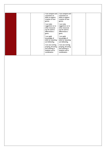| I can compare and<br>comments on<br>skills to support<br>creation of new<br>games.              | I can compare and<br>comments on<br>skills to support<br>creation of new<br>games.              |  |
|-------------------------------------------------------------------------------------------------|-------------------------------------------------------------------------------------------------|--|
| I can make<br>suggestions as to<br>what resources<br>can be used to<br>differentiate a<br>game. | I can make<br>suggestions as to<br>what resources<br>can be used to<br>differentiate a<br>game. |  |
| I can apply<br>knowledge of<br>skills for attacking<br>and defending.                           | I can apply<br>knowledge of<br>skills for attacking<br>and defending.                           |  |
| I can use running,<br>jumping, throwing<br>and catching in<br>isolation and in<br>combination.  | I can use running,<br>jumping, throwing<br>and catching in<br>isolation and in<br>combination.  |  |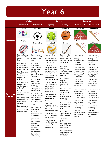|                                    | <b>Autumn</b>                                                                                                                                                                                                                                                                                                                         |                                                                                                                                                                                                                                                                                                                                                                                                                                                                                                                     | <b>Spring</b>                                                                                                                                                                                                                                                                                                                                                                                                                                                                                                     |                                                                                                                                                                                                                                                                                                                                                                                                                                                                                                                             | <b>Summer</b>                                                                                                                                                                                                                                                                                                                            |                                                                                                                                                                                                                                                                                                                                          |
|------------------------------------|---------------------------------------------------------------------------------------------------------------------------------------------------------------------------------------------------------------------------------------------------------------------------------------------------------------------------------------|---------------------------------------------------------------------------------------------------------------------------------------------------------------------------------------------------------------------------------------------------------------------------------------------------------------------------------------------------------------------------------------------------------------------------------------------------------------------------------------------------------------------|-------------------------------------------------------------------------------------------------------------------------------------------------------------------------------------------------------------------------------------------------------------------------------------------------------------------------------------------------------------------------------------------------------------------------------------------------------------------------------------------------------------------|-----------------------------------------------------------------------------------------------------------------------------------------------------------------------------------------------------------------------------------------------------------------------------------------------------------------------------------------------------------------------------------------------------------------------------------------------------------------------------------------------------------------------------|------------------------------------------------------------------------------------------------------------------------------------------------------------------------------------------------------------------------------------------------------------------------------------------------------------------------------------------|------------------------------------------------------------------------------------------------------------------------------------------------------------------------------------------------------------------------------------------------------------------------------------------------------------------------------------------|
|                                    | <b>Autumn I</b>                                                                                                                                                                                                                                                                                                                       | <b>Autumn 2</b>                                                                                                                                                                                                                                                                                                                                                                                                                                                                                                     | <b>Spring I</b>                                                                                                                                                                                                                                                                                                                                                                                                                                                                                                   | <b>Spring 2</b>                                                                                                                                                                                                                                                                                                                                                                                                                                                                                                             | <b>Summer I</b>                                                                                                                                                                                                                                                                                                                          | <b>Summer 2</b>                                                                                                                                                                                                                                                                                                                          |
|                                    | <b>Dance</b>                                                                                                                                                                                                                                                                                                                          | <b>Football</b>                                                                                                                                                                                                                                                                                                                                                                                                                                                                                                     | <b>Tennis</b>                                                                                                                                                                                                                                                                                                                                                                                                                                                                                                     | <b>Basketball</b>                                                                                                                                                                                                                                                                                                                                                                                                                                                                                                           | <b>Athletics</b>                                                                                                                                                                                                                                                                                                                         | <b>Rounders</b>                                                                                                                                                                                                                                                                                                                          |
| <b>Overview</b>                    | <b>Rugby</b>                                                                                                                                                                                                                                                                                                                          |                                                                                                                                                                                                                                                                                                                                                                                                                                                                                                                     |                                                                                                                                                                                                                                                                                                                                                                                                                                                                                                                   |                                                                                                                                                                                                                                                                                                                                                                                                                                                                                                                             | 3 4 <br>$\overline{2}$<br>5<br><b>Rounders</b>                                                                                                                                                                                                                                                                                           |                                                                                                                                                                                                                                                                                                                                          |
|                                    |                                                                                                                                                                                                                                                                                                                                       | <b>Gymnastics</b>                                                                                                                                                                                                                                                                                                                                                                                                                                                                                                   | <b>Netball</b>                                                                                                                                                                                                                                                                                                                                                                                                                                                                                                    | <b>Hockey</b>                                                                                                                                                                                                                                                                                                                                                                                                                                                                                                               |                                                                                                                                                                                                                                                                                                                                          | <b>Athletics</b>                                                                                                                                                                                                                                                                                                                         |
|                                    |                                                                                                                                                                                                                                                                                                                                       |                                                                                                                                                                                                                                                                                                                                                                                                                                                                                                                     |                                                                                                                                                                                                                                                                                                                                                                                                                                                                                                                   |                                                                                                                                                                                                                                                                                                                                                                                                                                                                                                                             |                                                                                                                                                                                                                                                                                                                                          |                                                                                                                                                                                                                                                                                                                                          |
|                                    | I can confidently<br>improvise with a<br>partner or on my<br>own.<br>I can begin to                                                                                                                                                                                                                                                   | I can select and<br>combine my skills,<br>techniques and<br>ideas.<br>I can apply                                                                                                                                                                                                                                                                                                                                                                                                                                   | I can vary skills,<br>actions and ideas<br>and link these in<br>ways that suit the<br>games activity.                                                                                                                                                                                                                                                                                                                                                                                                             | I can vary skills,<br>actions and ideas<br>and link these in<br>ways that suit the<br>games activity.                                                                                                                                                                                                                                                                                                                                                                                                                       | I can begin to<br>build a variety of<br>running<br>techniques and<br>use with<br>confidence.                                                                                                                                                                                                                                             | I can begin to<br>build a variety of<br>running<br>techniques and<br>use with<br>confidence.                                                                                                                                                                                                                                             |
|                                    | create longer<br>dance sequences<br>in a larger group.<br>I can demonstrate<br>precision and                                                                                                                                                                                                                                          | combined skills<br>accurately and<br>appropriately,<br>consistently<br>showing<br>precision, control                                                                                                                                                                                                                                                                                                                                                                                                                | I can show<br>confidence in using<br>ball skills in various<br>ways, and can link<br>these together.                                                                                                                                                                                                                                                                                                                                                                                                              | I can show<br>confidence in<br>using ball skills in<br>various ways, and<br>can link these                                                                                                                                                                                                                                                                                                                                                                                                                                  | I can perform a<br>running jump with<br>more than one<br>component. e.g.<br>hop skip jump                                                                                                                                                                                                                                                | I can perform a<br>running jump with<br>more than one<br>component. e.g.<br>hop skip jump                                                                                                                                                                                                                                                |
| <b>Suggested</b><br><b>Content</b> | some control in<br>response to<br>stimuli.<br>I can begin to vary<br>dynamics and<br>develop actions<br>and motifs.<br>I can demonstrate<br>rhythm and spatial<br>awareness.<br>I can modify parts<br>of a sequence as a<br>result of self-<br>evaluation.<br>I can use simple<br>dance vocabulary<br>to compare and<br>improve work. | and fluency.<br>I can draw on<br>what I know<br>about strategy,<br>tactics and<br>composition<br>when performing<br>and evaluating.<br>I can analyse and<br>comment on skills<br>and techniques<br>and how these<br>are applied in my<br>own and others'<br>work.<br>I can use more<br>complex gym<br>vocabulary to<br>describe how to<br>improve and<br>refine<br>performances.<br>I can develop<br>strength,<br>technique and<br>flexibility<br>throughout<br>performances.<br>I can link skills<br>with control, | I can use skills with<br>co-ordination,<br>control and fluency.<br>I can take part in<br>competitive games<br>with a strong<br>understanding of<br>tactics and<br>composition.<br>I can create their<br>own games using<br>knowledge and<br>skills.<br>I can make<br>suggestions as to<br>what resources can<br>be used to<br>differentiate a game.<br>I can apply basic<br>skills for attacking<br>and defending.<br>I can use running,<br>jumping, throwing<br>and catching in<br>isolation and<br>combination. | together.<br>I can use skills<br>with co-<br>ordination,<br>control and<br>fluency.<br>I can take part in<br>competitive<br>games with a<br>strong<br>understanding of<br>tactics and<br>composition.<br>I can create their<br>own games using<br>knowledge and<br>skills.<br>I can make<br>suggestions as to<br>what resources<br>can be used to<br>differentiate a<br>game.<br>I can apply basic<br>skills for attacking<br>and defending.<br>I can use running,<br>jumping, throwing<br>and catching in<br>isolation and | (triple jump)<br>I can begin to<br>record peers<br>performances,<br>and evaluate<br>these.<br>I can demonstrate<br>accuracy and<br>confidence in<br>throwing and<br>catching activities.<br>I can describe<br>good athletic<br>performance<br>using correct<br>vocabulary.<br>I can use<br>equipment safely<br>and with good<br>control. | (triple jump)<br>I can begin to<br>record peers<br>performances,<br>and evaluate<br>these.<br>I can demonstrate<br>accuracy and<br>confidence in<br>throwing and<br>catching activities.<br>I can describe<br>good athletic<br>performance<br>using correct<br>vocabulary.<br>I can use<br>equipment safely<br>and with good<br>control. |